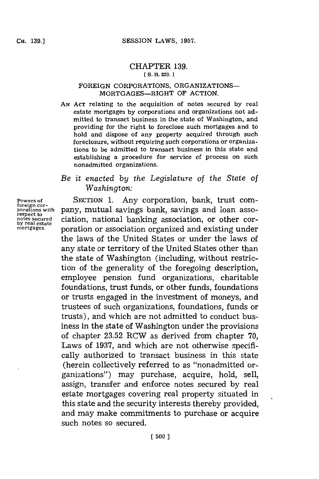## CHAPTER **139. [ S. B. 220.**

## FOREIGN CORPORATIONS, ORGANIZATIONS-MORTGAGES-RIGHT OF **ACTION.**

**AN ACT** relating to the acquisition of notes secured **by** real estate mortgages **by** corporations and organizations not admitted to transact business in the state of Washington, and providing for the right to foreclose such mortgages and to hold and dispose of any property acquired through such foreclosure, without requiring such corporations or organizations to be admitted to transact business in this state and establishing a procedure for service of process on such nonadmitted organizations.

## *Be it enacted by the Legislature of the State of Washington:*

SECTION **1.** Any corporation, bank, trust company, mutual savings bank, savings and loan association, national banking association, or other corporation or association organized and existing under the laws of the United States or under the laws of any state or territory of the United States other than the state of Washington (including, without restriction of the generality of the foregoing description, employee pension fund organizations, charitable foundations, trust funds, or other funds, foundations or trusts engaged in the investment of moneys, and trustees of such organizations, foundations, funds or trusts), and which are not admitted to conduct business in the state of Washington under the provisions of chapter **23.52** RCW as derived from chapter **70,** Laws of **1937,** and which are not otherwise specifically authorized to transact business in this state (herein collectively referred to as "nonadmitted organizations") may purchase, acquire, hold, sell, assign, transfer and enforce notes secured **by** real estate mortgages covering real property situated in this state and the security interests thereby provided, and may make commitments to purchase or acquire such notes so secured.

**Powers of foreign cor- porations with respect to notes secured by real estate mortgages.**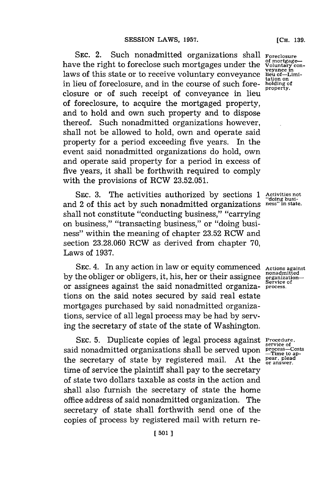**SEC.** 2. Such nonadmitted organizations shall have the right to foreclose such mortgages under the laws of this state or to receive voluntary conveyance in lieu of foreclosure, and in the course of such foreclosure or of such receipt of conveyance in lieu of foreclosure, to acquire the mortgaged property, and to hold and own such property and to dispose thereof. Such nonadmitted organizations however, shall not be allowed to hold, own and operate said property for a period exceeding five years. In the event said nonadmitted organizations do hold, own and operate said property for a period in excess of five years, it shall be forthwith required to comply with the provisions of RCW **23.52.051.**

SEc. **3.** The activities authorized **by** sections **1 Activities not "doing busi**and 2 of this act by such nonadmitted organizations shall not constitute "conducting business," "carrying on business," "transacting business," or "doing business" within the meaning of chapter **23.52** RCW and section **23.28.060** RCW as derived from chapter **70,** Laws of **1937.**

SEC. 4. In any action in law or equity commenced **by** the obliger or obligers, it, his, her or their assignee or assignees against the said nonadmitted organizations on the said notes secured **by** said real estate mortgages purchased **by** said nonadmitted organizations, service of all legal process may be had **by** serving the secretary of state of the state of Washington.

SEC. 5. Duplicate copies of legal process against Procedure said nonadmitted organizations shall be served upon the secretary of state **by** registered mail. At the time of service the plaintiff shall pay to the secretary of state two dollars taxable as costs in the action and shall also furnish the secretary of state the home office address of said nonadmitted organization. The secretary of state shall forthwith send one of the copies of process **by** registered mail with return re-

**Foreclosure of mortgage-Voluntary con- veyance in lieu of—Limi-**<br>tation on **tation on holding of** property.

**Actions against nonadmitted organization-Service of process.**

**service of process-Costs -Time to ap-pear, plead or answer.**